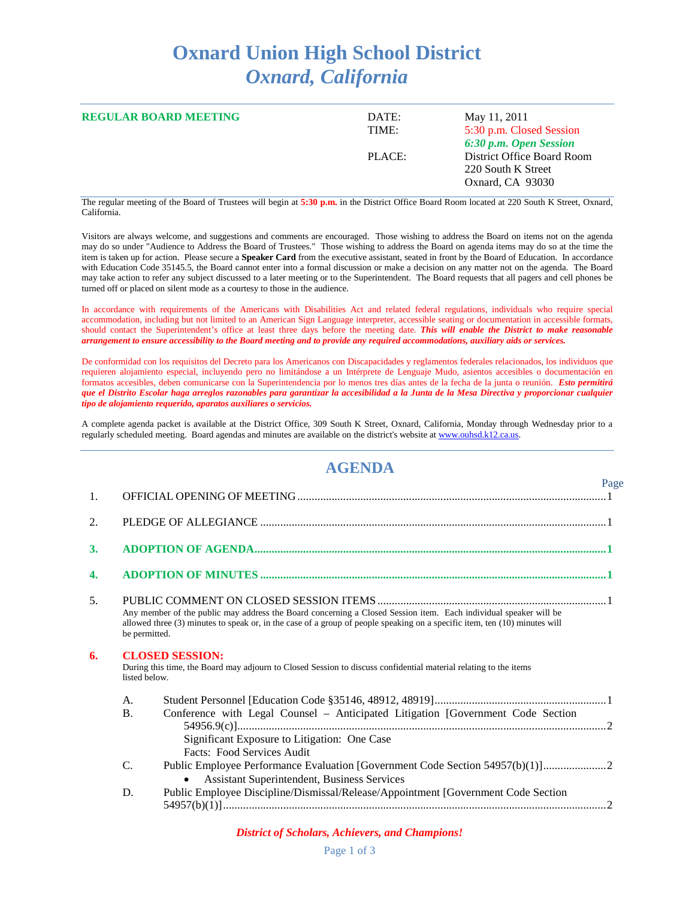## **Oxnard Union High School District** *Oxnard, California*

| <b>REGULAR BOARD MEETING</b> | DATE:<br>TIME: | May 11, 2011<br>5:30 p.m. Closed Session<br>6:30 p.m. Open Session   |  |
|------------------------------|----------------|----------------------------------------------------------------------|--|
|                              | PLACE:         | District Office Board Room<br>220 South K Street<br>Oxnard, CA 93030 |  |

The regular meeting of the Board of Trustees will begin at **5:30 p.m.** in the District Office Board Room located at 220 South K Street, Oxnard, California.

Visitors are always welcome, and suggestions and comments are encouraged. Those wishing to address the Board on items not on the agenda may do so under "Audience to Address the Board of Trustees." Those wishing to address the Board on agenda items may do so at the time the item is taken up for action. Please secure a **Speaker Card** from the executive assistant, seated in front by the Board of Education. In accordance with Education Code 35145.5, the Board cannot enter into a formal discussion or make a decision on any matter not on the agenda. The Board may take action to refer any subject discussed to a later meeting or to the Superintendent. The Board requests that all pagers and cell phones be turned off or placed on silent mode as a courtesy to those in the audience.

In accordance with requirements of the Americans with Disabilities Act and related federal regulations, individuals who require special accommodation, including but not limited to an American Sign Language interpreter, accessible seating or documentation in accessible formats, should contact the Superintendent's office at least three days before the meeting date. *This will enable the District to make reasonable arrangement to ensure accessibility to the Board meeting and to provide any required accommodations, auxiliary aids or services.*

De conformidad con los requisitos del Decreto para los Americanos con Discapacidades y reglamentos federales relacionados, los individuos que requieren alojamiento especial, incluyendo pero no limitándose a un Intérprete de Lenguaje Mudo, asientos accesibles o documentación en formatos accesibles, deben comunicarse con la Superintendencia por lo menos tres días antes de la fecha de la junta o reunión. *Esto permitirá que el Distrito Escolar haga arreglos razonables para garantizar la accesibilidad a la Junta de la Mesa Directiva y proporcionar cualquier tipo de alojamiento requerido, aparatos auxiliares o servicios.*

A complete agenda packet is available at the District Office, 309 South K Street, Oxnard, California, Monday through Wednesday prior to a regularly scheduled meeting. Board agendas and minutes are available on the district's website a[t www.ouhsd.k12.ca.us.](http://www.ouhsd.k12.ca.us/)

## **AGENDA**

|                  |                                                                                                                                                             |                                                                                                                                                                                                                                                | Page |  |
|------------------|-------------------------------------------------------------------------------------------------------------------------------------------------------------|------------------------------------------------------------------------------------------------------------------------------------------------------------------------------------------------------------------------------------------------|------|--|
| 1.               |                                                                                                                                                             |                                                                                                                                                                                                                                                |      |  |
| 2.               |                                                                                                                                                             |                                                                                                                                                                                                                                                |      |  |
| 3.               |                                                                                                                                                             |                                                                                                                                                                                                                                                |      |  |
| $\overline{4}$ . |                                                                                                                                                             |                                                                                                                                                                                                                                                |      |  |
| 5.               | be permitted.                                                                                                                                               | Any member of the public may address the Board concerning a Closed Session item. Each individual speaker will be<br>allowed three (3) minutes to speak or, in the case of a group of people speaking on a specific item, ten (10) minutes will |      |  |
| 6.               | <b>CLOSED SESSION:</b><br>During this time, the Board may adjourn to Closed Session to discuss confidential material relating to the items<br>listed below. |                                                                                                                                                                                                                                                |      |  |
|                  | A.                                                                                                                                                          |                                                                                                                                                                                                                                                |      |  |
|                  | <b>B.</b>                                                                                                                                                   | Conference with Legal Counsel - Anticipated Litigation [Government Code Section<br>Significant Exposure to Litigation: One Case<br>Facts: Food Services Audit                                                                                  |      |  |
|                  | $\mathcal{C}$                                                                                                                                               | <b>Assistant Superintendent, Business Services</b>                                                                                                                                                                                             |      |  |
|                  | D.                                                                                                                                                          | Public Employee Discipline/Dismissal/Release/Appointment [Government Code Section                                                                                                                                                              |      |  |

## *District of Scholars, Achievers, and Champions!*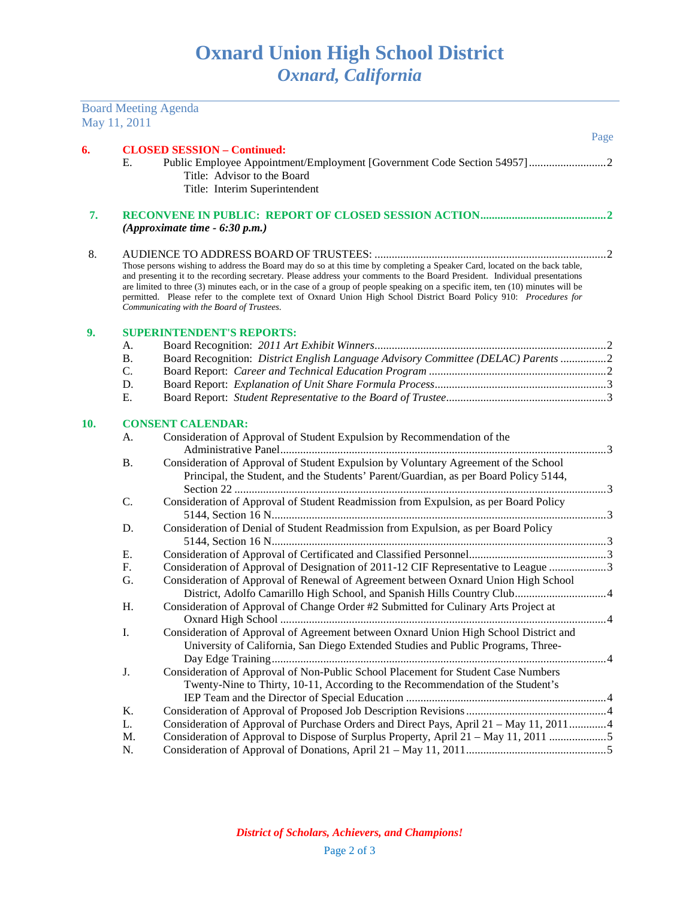Board Meeting Agenda

|     | May 11, 2011                                                                                                                                                                                                                                                                                                                                                                                                                                                                                                                                                     |                                                                                                                                                                             |      |  |
|-----|------------------------------------------------------------------------------------------------------------------------------------------------------------------------------------------------------------------------------------------------------------------------------------------------------------------------------------------------------------------------------------------------------------------------------------------------------------------------------------------------------------------------------------------------------------------|-----------------------------------------------------------------------------------------------------------------------------------------------------------------------------|------|--|
|     |                                                                                                                                                                                                                                                                                                                                                                                                                                                                                                                                                                  |                                                                                                                                                                             | Page |  |
| 6.  | <b>CLOSED SESSION - Continued:</b><br>Public Employee Appointment/Employment [Government Code Section 54957]<br>Ε.<br>Title: Advisor to the Board<br>Title: Interim Superintendent                                                                                                                                                                                                                                                                                                                                                                               |                                                                                                                                                                             |      |  |
| 7.  |                                                                                                                                                                                                                                                                                                                                                                                                                                                                                                                                                                  | (Approximate time $-6:30$ p.m.)                                                                                                                                             |      |  |
| 8.  | Those persons wishing to address the Board may do so at this time by completing a Speaker Card, located on the back table,<br>and presenting it to the recording secretary. Please address your comments to the Board President. Individual presentations<br>are limited to three (3) minutes each, or in the case of a group of people speaking on a specific item, ten (10) minutes will be<br>permitted. Please refer to the complete text of Oxnard Union High School District Board Policy 910: Procedures for<br>Communicating with the Board of Trustees. |                                                                                                                                                                             |      |  |
| 9.  |                                                                                                                                                                                                                                                                                                                                                                                                                                                                                                                                                                  | <b>SUPERINTENDENT'S REPORTS:</b>                                                                                                                                            |      |  |
|     | A.                                                                                                                                                                                                                                                                                                                                                                                                                                                                                                                                                               |                                                                                                                                                                             |      |  |
|     | <b>B.</b>                                                                                                                                                                                                                                                                                                                                                                                                                                                                                                                                                        | Board Recognition: District English Language Advisory Committee (DELAC) Parents 2                                                                                           |      |  |
|     | C.                                                                                                                                                                                                                                                                                                                                                                                                                                                                                                                                                               |                                                                                                                                                                             |      |  |
|     | D.                                                                                                                                                                                                                                                                                                                                                                                                                                                                                                                                                               |                                                                                                                                                                             |      |  |
|     | Ε.                                                                                                                                                                                                                                                                                                                                                                                                                                                                                                                                                               |                                                                                                                                                                             |      |  |
| 10. |                                                                                                                                                                                                                                                                                                                                                                                                                                                                                                                                                                  | <b>CONSENT CALENDAR:</b>                                                                                                                                                    |      |  |
|     | А.                                                                                                                                                                                                                                                                                                                                                                                                                                                                                                                                                               | Consideration of Approval of Student Expulsion by Recommendation of the                                                                                                     |      |  |
|     | <b>B.</b>                                                                                                                                                                                                                                                                                                                                                                                                                                                                                                                                                        | Consideration of Approval of Student Expulsion by Voluntary Agreement of the School<br>Principal, the Student, and the Students' Parent/Guardian, as per Board Policy 5144, |      |  |
|     | C.                                                                                                                                                                                                                                                                                                                                                                                                                                                                                                                                                               | Consideration of Approval of Student Readmission from Expulsion, as per Board Policy                                                                                        |      |  |
|     | D.                                                                                                                                                                                                                                                                                                                                                                                                                                                                                                                                                               | Consideration of Denial of Student Readmission from Expulsion, as per Board Policy                                                                                          |      |  |
|     | Ε.                                                                                                                                                                                                                                                                                                                                                                                                                                                                                                                                                               |                                                                                                                                                                             |      |  |
|     | F.                                                                                                                                                                                                                                                                                                                                                                                                                                                                                                                                                               | Consideration of Approval of Designation of 2011-12 CIF Representative to League 3                                                                                          |      |  |
|     | G.                                                                                                                                                                                                                                                                                                                                                                                                                                                                                                                                                               | Consideration of Approval of Renewal of Agreement between Oxnard Union High School                                                                                          |      |  |
|     |                                                                                                                                                                                                                                                                                                                                                                                                                                                                                                                                                                  |                                                                                                                                                                             |      |  |
|     | H.                                                                                                                                                                                                                                                                                                                                                                                                                                                                                                                                                               | Consideration of Approval of Change Order #2 Submitted for Culinary Arts Project at                                                                                         |      |  |
|     | I.                                                                                                                                                                                                                                                                                                                                                                                                                                                                                                                                                               | Consideration of Approval of Agreement between Oxnard Union High School District and<br>University of California, San Diego Extended Studies and Public Programs, Three-    |      |  |
|     | J.                                                                                                                                                                                                                                                                                                                                                                                                                                                                                                                                                               | Consideration of Approval of Non-Public School Placement for Student Case Numbers<br>Twenty-Nine to Thirty, 10-11, According to the Recommendation of the Student's         |      |  |
|     | K.                                                                                                                                                                                                                                                                                                                                                                                                                                                                                                                                                               |                                                                                                                                                                             |      |  |
|     | L.                                                                                                                                                                                                                                                                                                                                                                                                                                                                                                                                                               | Consideration of Approval of Purchase Orders and Direct Pays, April 21 – May 11, 20114                                                                                      |      |  |
|     | M.                                                                                                                                                                                                                                                                                                                                                                                                                                                                                                                                                               | Consideration of Approval to Dispose of Surplus Property, April 21 - May 11, 2011                                                                                           |      |  |
|     | N.                                                                                                                                                                                                                                                                                                                                                                                                                                                                                                                                                               |                                                                                                                                                                             |      |  |
|     |                                                                                                                                                                                                                                                                                                                                                                                                                                                                                                                                                                  |                                                                                                                                                                             |      |  |